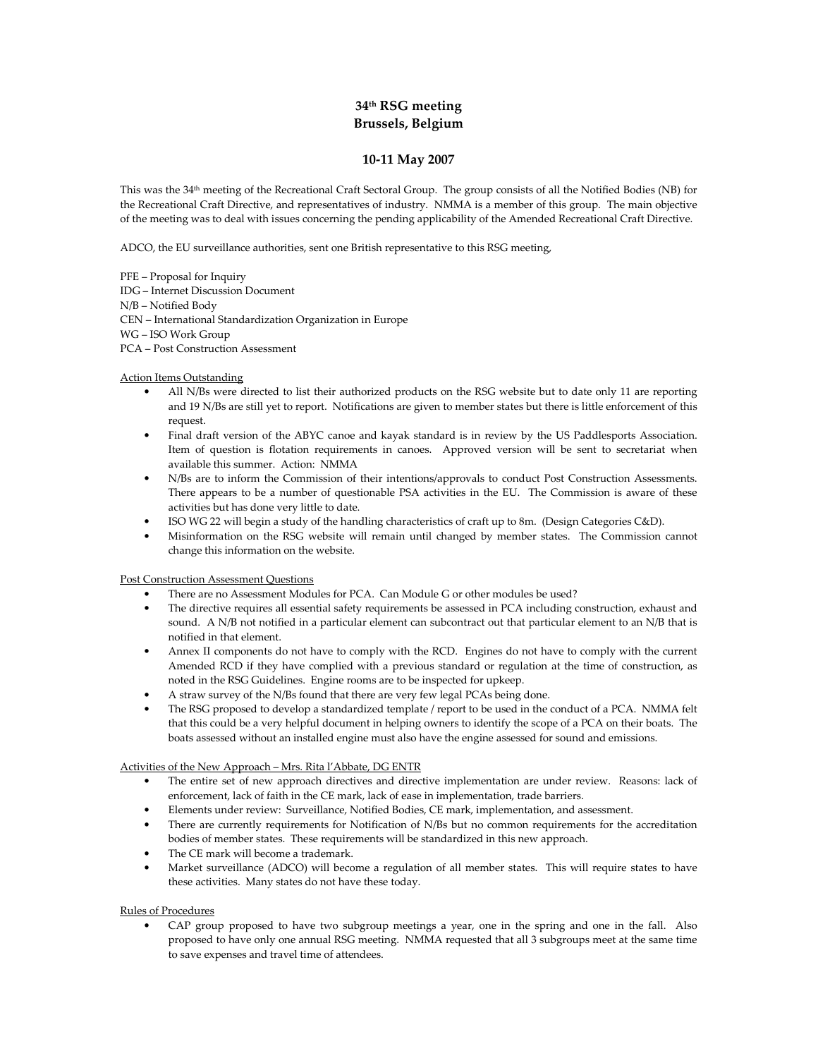# 34th RSG meeting Brussels, Belgium

# 10-11 May 2007

This was the 34<sup>th</sup> meeting of the Recreational Craft Sectoral Group. The group consists of all the Notified Bodies (NB) for the Recreational Craft Directive, and representatives of industry. NMMA is a member of this group. The main objective of the meeting was to deal with issues concerning the pending applicability of the Amended Recreational Craft Directive.

ADCO, the EU surveillance authorities, sent one British representative to this RSG meeting,

- PFE Proposal for Inquiry IDG – Internet Discussion Document N/B – Notified Body CEN – International Standardization Organization in Europe WG – ISO Work Group
- PCA Post Construction Assessment

# Action Items Outstanding

- All N/Bs were directed to list their authorized products on the RSG website but to date only 11 are reporting and 19 N/Bs are still yet to report. Notifications are given to member states but there is little enforcement of this request.
- Final draft version of the ABYC canoe and kayak standard is in review by the US Paddlesports Association. Item of question is flotation requirements in canoes. Approved version will be sent to secretariat when available this summer. Action: NMMA
- N/Bs are to inform the Commission of their intentions/approvals to conduct Post Construction Assessments. There appears to be a number of questionable PSA activities in the EU. The Commission is aware of these activities but has done very little to date.
- ISO WG 22 will begin a study of the handling characteristics of craft up to 8m. (Design Categories C&D).
- Misinformation on the RSG website will remain until changed by member states. The Commission cannot change this information on the website.

Post Construction Assessment Questions

- There are no Assessment Modules for PCA. Can Module G or other modules be used?
- The directive requires all essential safety requirements be assessed in PCA including construction, exhaust and sound. A N/B not notified in a particular element can subcontract out that particular element to an N/B that is notified in that element.
- Annex II components do not have to comply with the RCD. Engines do not have to comply with the current Amended RCD if they have complied with a previous standard or regulation at the time of construction, as noted in the RSG Guidelines. Engine rooms are to be inspected for upkeep.
- A straw survey of the N/Bs found that there are very few legal PCAs being done.
- The RSG proposed to develop a standardized template / report to be used in the conduct of a PCA. NMMA felt that this could be a very helpful document in helping owners to identify the scope of a PCA on their boats. The boats assessed without an installed engine must also have the engine assessed for sound and emissions.

# Activities of the New Approach – Mrs. Rita l'Abbate, DG ENTR

- The entire set of new approach directives and directive implementation are under review. Reasons: lack of enforcement, lack of faith in the CE mark, lack of ease in implementation, trade barriers.
- Elements under review: Surveillance, Notified Bodies, CE mark, implementation, and assessment.
- There are currently requirements for Notification of N/Bs but no common requirements for the accreditation bodies of member states. These requirements will be standardized in this new approach.
- The CE mark will become a trademark.
- Market surveillance (ADCO) will become a regulation of all member states. This will require states to have these activities. Many states do not have these today.

# Rules of Procedures

• CAP group proposed to have two subgroup meetings a year, one in the spring and one in the fall. Also proposed to have only one annual RSG meeting. NMMA requested that all 3 subgroups meet at the same time to save expenses and travel time of attendees.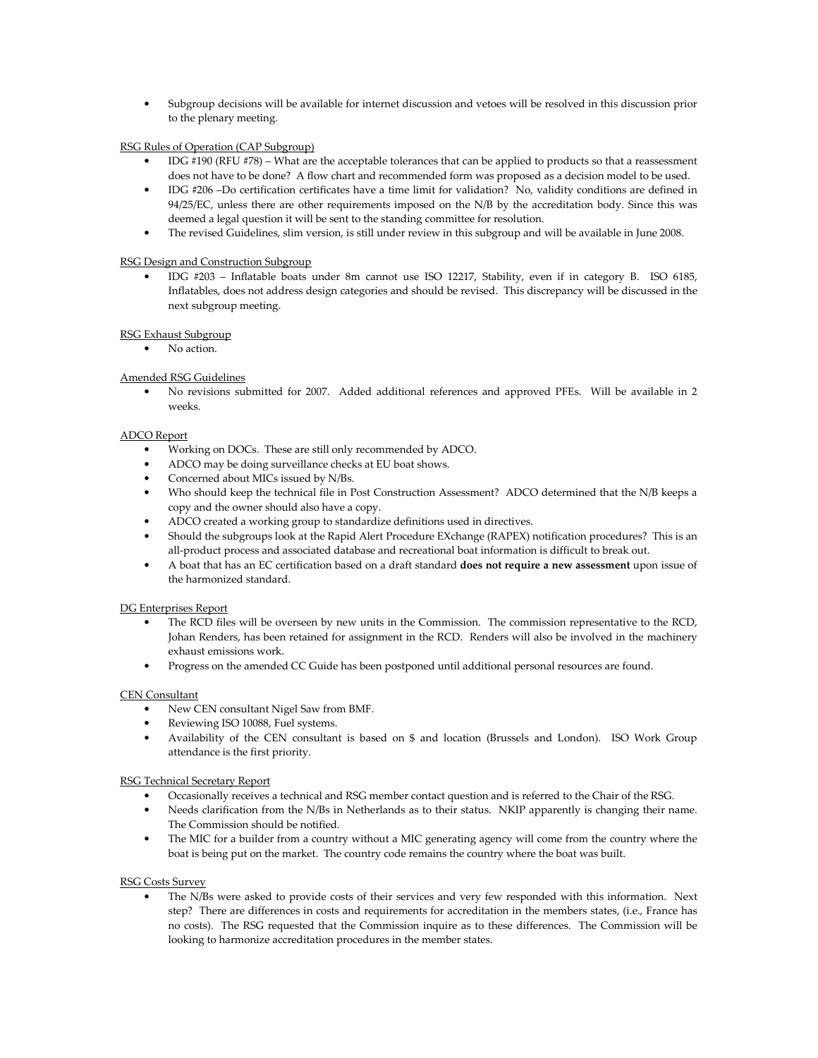• Subgroup decisions will be available for internet discussion and vetoes will be resolved in this discussion prior to the plenary meeting.

# RSG Rules of Operation (CAP Subgroup)

- IDG #190 (RFU #78) What are the acceptable tolerances that can be applied to products so that a reassessment does not have to be done? A flow chart and recommended form was proposed as a decision model to be used.
- IDG #206 –Do certification certificates have a time limit for validation? No, validity conditions are defined in 94/25/EC, unless there are other requirements imposed on the N/B by the accreditation body. Since this was deemed a legal question it will be sent to the standing committee for resolution.
- The revised Guidelines, slim version, is still under review in this subgroup and will be available in June 2008.

# RSG Design and Construction Subgroup

• IDG #203 – Inflatable boats under 8m cannot use ISO 12217, Stability, even if in category B. ISO 6185, Inflatables, does not address design categories and should be revised. This discrepancy will be discussed in the next subgroup meeting.

# RSG Exhaust Subgroup

No action.

# Amended RSG Guidelines

• No revisions submitted for 2007. Added additional references and approved PFEs. Will be available in 2 weeks.

# ADCO Report

- Working on DOCs. These are still only recommended by ADCO.
- ADCO may be doing surveillance checks at EU boat shows.
- Concerned about MICs issued by N/Bs.
- Who should keep the technical file in Post Construction Assessment? ADCO determined that the N/B keeps a copy and the owner should also have a copy.
- ADCO created a working group to standardize definitions used in directives.
- Should the subgroups look at the Rapid Alert Procedure EXchange (RAPEX) notification procedures? This is an all-product process and associated database and recreational boat information is difficult to break out.
- A boat that has an EC certification based on a draft standard does not require a new assessment upon issue of the harmonized standard.

# DG Enterprises Report

- The RCD files will be overseen by new units in the Commission. The commission representative to the RCD, Johan Renders, has been retained for assignment in the RCD. Renders will also be involved in the machinery exhaust emissions work.
- Progress on the amended CC Guide has been postponed until additional personal resources are found.

# CEN Consultant

- New CEN consultant Nigel Saw from BMF.
- Reviewing ISO 10088, Fuel systems.
- Availability of the CEN consultant is based on \$ and location (Brussels and London). ISO Work Group attendance is the first priority.

# RSG Technical Secretary Report

- Occasionally receives a technical and RSG member contact question and is referred to the Chair of the RSG.
- Needs clarification from the N/Bs in Netherlands as to their status. NKIP apparently is changing their name. The Commission should be notified.
- The MIC for a builder from a country without a MIC generating agency will come from the country where the boat is being put on the market. The country code remains the country where the boat was built.

# RSG Costs Survey

• The N/Bs were asked to provide costs of their services and very few responded with this information. Next step? There are differences in costs and requirements for accreditation in the members states, (i.e., France has no costs). The RSG requested that the Commission inquire as to these differences. The Commission will be looking to harmonize accreditation procedures in the member states.